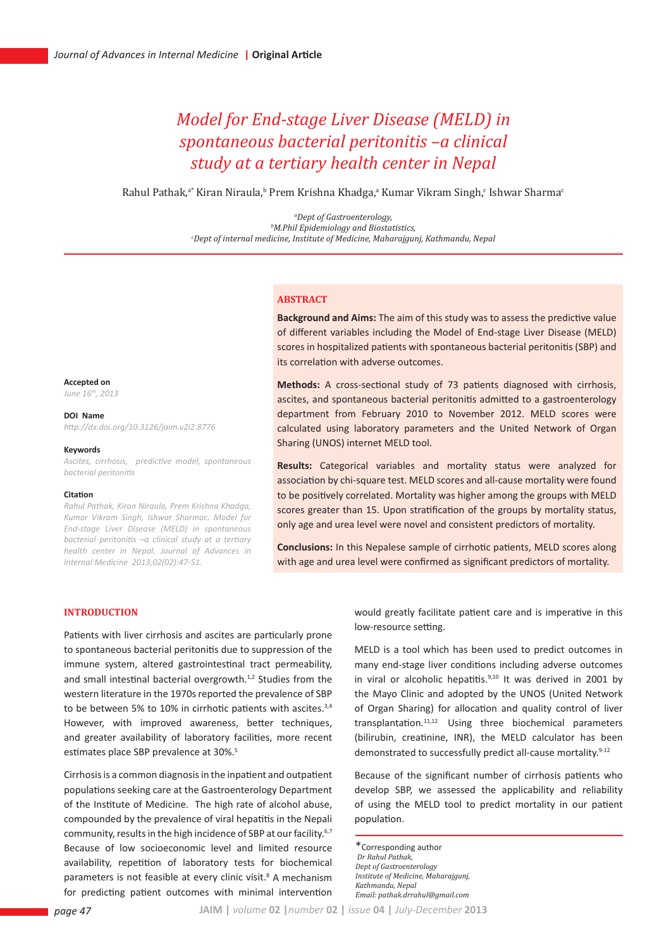# *Model for End-stage Liver Disease (MELD) in spontaneous bacterial peritonitis –a clinical study at a tertiary health center in Nepal*

Rahul Pathak,<sup>a•</sup> Kiran Niraula,<sup>6</sup> Prem Krishna Khadga,<sup>a</sup> Kumar Vikram Singh,<sup>c</sup> Ishwar Sharma<sup>c</sup>

<sup>a</sup>Dept of Gastroenterology, <sup>b</sup>M.Phil Epidemiology and Biostatistics, *M.Phil Epidemiology and Biostatistics, c Dept of internal medicine, Institute of Medicine, Maharajgunj, Kathmandu, Nepal*

#### **Abstract**

**Background and Aims:** The aim of this study was to assess the predictive value of different variables including the Model of End-stage Liver Disease (MELD) scores in hospitalized patients with spontaneous bacterial peritonitis (SBP) and its correlation with adverse outcomes.

**Methods:** A cross-sectional study of 73 patients diagnosed with cirrhosis, ascites, and spontaneous bacterial peritonitis admitted to a gastroenterology department from February 2010 to November 2012. MELD scores were calculated using laboratory parameters and the United Network of Organ Sharing (UNOS) internet MELD tool.

**Results:** Categorical variables and mortality status were analyzed for association by chi-square test. MELD scores and all-cause mortality were found to be positively correlated. Mortality was higher among the groups with MELD scores greater than 15. Upon stratification of the groups by mortality status, only age and urea level were novel and consistent predictors of mortality.

**Conclusions:** In this Nepalese sample of cirrhotic patients, MELD scores along with age and urea level were confirmed as significant predictors of mortality.

#### **Introduction**

**Accepted on** *June 16th, 2013* **DOI Name**

**Keywords**

**Citation**

*bacterial peritonitis*

*http://dx.doi.org/10.3126/jaim.v2i2.8776*

*Internal Medicine 2013;02(02):47-51.* 

*Ascites, cirrhosis, predictive model, spontaneous* 

*Rahul Pathak, Kiran Niraula, Prem Krishna Khadga, Kumar Vikram Singh, Ishwar Sharmac. Model for End-stage Liver Disease (MELD) in spontaneous bacterial peritonitis –a clinical study at a tertiary health center in Nepal. Journal of Advances in* 

Patients with liver cirrhosis and ascites are particularly prone to spontaneous bacterial peritonitis due to suppression of the immune system, altered gastrointestinal tract permeability, and small intestinal bacterial overgrowth.<sup>1,2</sup> Studies from the western literature in the 1970s reported the prevalence of SBP to be between 5% to 10% in cirrhotic patients with ascites.<sup>3,4</sup> However, with improved awareness, better techniques, and greater availability of laboratory facilities, more recent estimates place SBP prevalence at 30%.<sup>5</sup>

Cirrhosis is a common diagnosis in the inpatient and outpatient populations seeking care at the Gastroenterology Department of the Institute of Medicine. The high rate of alcohol abuse, compounded by the prevalence of viral hepatitis in the Nepali community, results in the high incidence of SBP at our facility.<sup>6,7</sup> Because of low socioeconomic level and limited resource availability, repetition of laboratory tests for biochemical parameters is not feasible at every clinic visit.<sup>8</sup> A mechanism for predicting patient outcomes with minimal intervention would greatly facilitate patient care and is imperative in this low-resource setting.

MELD is a tool which has been used to predict outcomes in many end-stage liver conditions including adverse outcomes in viral or alcoholic hepatitis. $9,10$  It was derived in 2001 by the Mayo Clinic and adopted by the UNOS (United Network of Organ Sharing) for allocation and quality control of liver transplantation.11,12 Using three biochemical parameters (bilirubin, creatinine, INR), the MELD calculator has been demonstrated to successfully predict all-cause mortality.<sup>9-12</sup>

Because of the significant number of cirrhosis patients who develop SBP, we assessed the applicability and reliability of using the MELD tool to predict mortality in our patient population.

\*Corresponding author  *Dr Rahul Pathak, Dept of Gastroenterology Institute of Medicine, Maharajgunj, Kathmandu, Nepal Email: pathak.drrahul@gmail.com*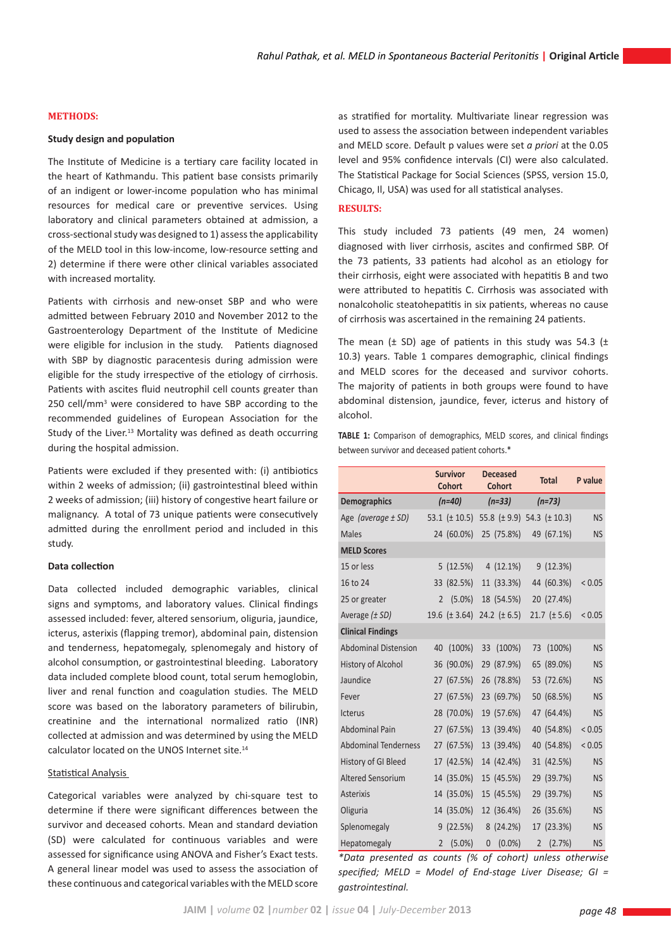### **Methods:**

#### **Study design and population**

The Institute of Medicine is a tertiary care facility located in the heart of Kathmandu. This patient base consists primarily of an indigent or lower-income population who has minimal resources for medical care or preventive services. Using laboratory and clinical parameters obtained at admission, a cross-sectional study was designed to 1) assess the applicability of the MELD tool in this low-income, low-resource setting and 2) determine if there were other clinical variables associated with increased mortality.

Patients with cirrhosis and new-onset SBP and who were admitted between February 2010 and November 2012 to the Gastroenterology Department of the Institute of Medicine were eligible for inclusion in the study. Patients diagnosed with SBP by diagnostic paracentesis during admission were eligible for the study irrespective of the etiology of cirrhosis. Patients with ascites fluid neutrophil cell counts greater than 250 cell/mm<sup>3</sup> were considered to have SBP according to the recommended guidelines of European Association for the Study of the Liver.<sup>13</sup> Mortality was defined as death occurring during the hospital admission.

Patients were excluded if they presented with: (i) antibiotics within 2 weeks of admission; (ii) gastrointestinal bleed within 2 weeks of admission; (iii) history of congestive heart failure or malignancy. A total of 73 unique patients were consecutively admitted during the enrollment period and included in this study.

### **Data collection**

Data collected included demographic variables, clinical signs and symptoms, and laboratory values. Clinical findings assessed included: fever, altered sensorium, oliguria, jaundice, icterus, asterixis (flapping tremor), abdominal pain, distension and tenderness, hepatomegaly, splenomegaly and history of alcohol consumption, or gastrointestinal bleeding. Laboratory data included complete blood count, total serum hemoglobin, liver and renal function and coagulation studies. The MELD score was based on the laboratory parameters of bilirubin, creatinine and the international normalized ratio (INR) collected at admission and was determined by using the MELD calculator located on the UNOS Internet site.14

#### Statistical Analysis

Categorical variables were analyzed by chi-square test to determine if there were significant differences between the survivor and deceased cohorts. Mean and standard deviation (SD) were calculated for continuous variables and were assessed for significance using ANOVA and Fisher's Exact tests. A general linear model was used to assess the association of these continuous and categorical variables with the MELD score

as stratified for mortality. Multivariate linear regression was used to assess the association between independent variables and MELD score. Default p values were set *a priori* at the 0.05 level and 95% confidence intervals (CI) were also calculated. The Statistical Package for Social Sciences (SPSS, version 15.0, Chicago, Il, USA) was used for all statistical analyses.

### **Results:**

This study included 73 patients (49 men, 24 women) diagnosed with liver cirrhosis, ascites and confirmed SBP. Of the 73 patients, 33 patients had alcohol as an etiology for their cirrhosis, eight were associated with hepatitis B and two were attributed to hepatitis C. Cirrhosis was associated with nonalcoholic steatohepatitis in six patients, whereas no cause of cirrhosis was ascertained in the remaining 24 patients.

The mean  $(\pm$  SD) age of patients in this study was 54.3 ( $\pm$ 10.3) years. Table 1 compares demographic, clinical findings and MELD scores for the deceased and survivor cohorts. The majority of patients in both groups were found to have abdominal distension, jaundice, fever, icterus and history of alcohol.

**TABLE 1:** Comparison of demographics, MELD scores, and clinical findings between survivor and deceased patient cohorts.\*

|                             | <b>Survivor</b><br><b>Cohort</b> |                   | <b>Deceased</b><br>Cohort |                                    | <b>Total</b>   |                    | P value   |
|-----------------------------|----------------------------------|-------------------|---------------------------|------------------------------------|----------------|--------------------|-----------|
| <b>Demographics</b>         | $(n=40)$                         |                   | $(n=33)$                  |                                    | $(n=73)$       |                    |           |
| Age (average $\pm$ SD)      |                                  | 53.1 $(\pm 10.5)$ |                           | 55.8 $(\pm 9.9)$ 54.3 $(\pm 10.3)$ |                |                    | <b>NS</b> |
| <b>Males</b>                |                                  | 24 (60.0%)        |                           | 25 (75.8%)                         |                | 49 (67.1%)         | <b>NS</b> |
| <b>MELD Scores</b>          |                                  |                   |                           |                                    |                |                    |           |
| 15 or less                  |                                  | 5(12.5%)          |                           | $4(12.1\%)$                        |                | 9(12.3%)           |           |
| 16 to 24                    |                                  | 33 (82.5%)        |                           | 11 (33.3%)                         |                | 44 (60.3%)         | < 0.05    |
| 25 or greater               | $\overline{2}$                   | $(5.0\%)$         |                           | 18 (54.5%)                         |                | 20 (27.4%)         |           |
| Average $(\pm SD)$          |                                  | 19.6 $(\pm 3.64)$ |                           | 24.2 $(\pm 6.5)$                   |                | $21.7 \ (\pm 5.6)$ | < 0.05    |
| <b>Clinical Findings</b>    |                                  |                   |                           |                                    |                |                    |           |
| <b>Abdominal Distension</b> | 40                               | $(100\%)$         | 33                        | $(100\%)$                          | 73             | $(100\%)$          | <b>NS</b> |
| <b>History of Alcohol</b>   |                                  | 36 (90.0%)        |                           | 29 (87.9%)                         |                | 65 (89.0%)         | <b>NS</b> |
| Jaundice                    |                                  | 27 (67.5%)        |                           | 26 (78.8%)                         |                | 53 (72.6%)         | <b>NS</b> |
| Fever                       |                                  | 27 (67.5%)        |                           | 23 (69.7%)                         |                | 50 (68.5%)         | <b>NS</b> |
| <b>Icterus</b>              |                                  | 28 (70.0%)        |                           | 19 (57.6%)                         |                | 47 (64.4%)         | <b>NS</b> |
| <b>Abdominal Pain</b>       |                                  | 27 (67.5%)        |                           | 13 (39.4%)                         |                | 40 (54.8%)         | < 0.05    |
| <b>Abdominal Tenderness</b> |                                  | 27 (67.5%)        |                           | 13 (39.4%)                         |                | 40 (54.8%)         | < 0.05    |
| History of GI Bleed         |                                  | 17 (42.5%)        |                           | 14 (42.4%)                         |                | 31 (42.5%)         | <b>NS</b> |
| <b>Altered Sensorium</b>    |                                  | 14 (35.0%)        |                           | 15 (45.5%)                         |                | 29 (39.7%)         | <b>NS</b> |
| <b>Asterixis</b>            |                                  | 14 (35.0%)        |                           | 15 (45.5%)                         |                | 29 (39.7%)         | <b>NS</b> |
| Oliguria                    |                                  | 14 (35.0%)        |                           | 12 (36.4%)                         |                | 26 (35.6%)         | <b>NS</b> |
| Splenomegaly                |                                  | 9(22.5%)          |                           | 8(24.2%)                           |                | 17 (23.3%)         | <b>NS</b> |
| Hepatomegaly                | 2                                | $(5.0\%)$         | $\mathbf{0}$              | $(0.0\%)$                          | $\overline{2}$ | (2.7%)             | <b>NS</b> |

*\*Data presented as counts (% of cohort) unless otherwise specified; MELD = Model of End-stage Liver Disease; GI = gastrointestinal.*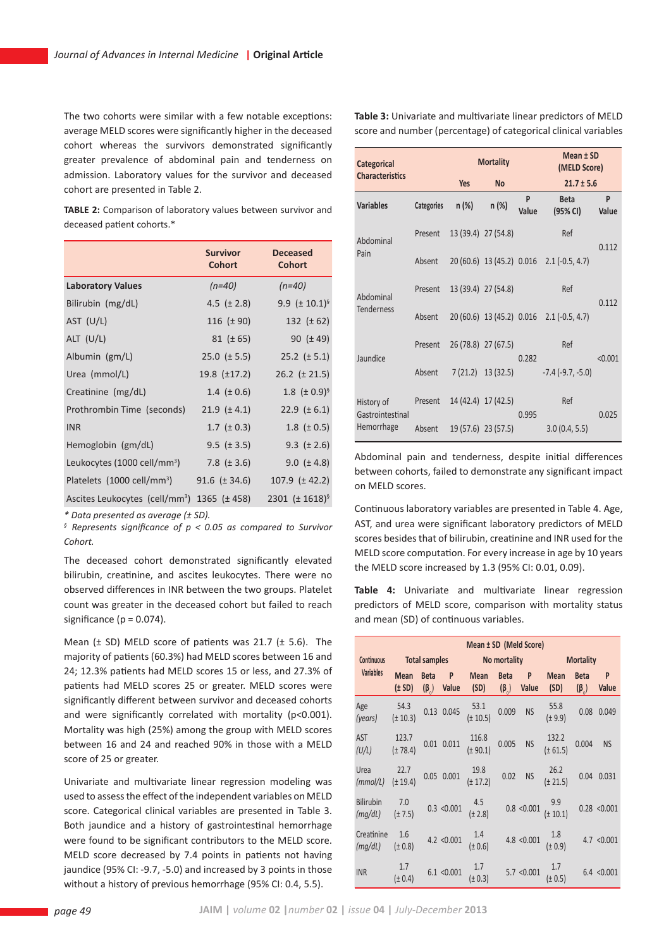The two cohorts were similar with a few notable exceptions: average MELD scores were significantly higher in the deceased cohort whereas the survivors demonstrated significantly greater prevalence of abdominal pain and tenderness on admission. Laboratory values for the survivor and deceased cohort are presented in Table 2.

**TABLE 2:** Comparison of laboratory values between survivor and deceased patient cohorts.\*

|                                                                | <b>Survivor</b><br><b>Cohort</b> | <b>Deceased</b><br><b>Cohort</b> |
|----------------------------------------------------------------|----------------------------------|----------------------------------|
| <b>Laboratory Values</b>                                       | $(n=40)$                         | $(n=40)$                         |
| Bilirubin (mg/dL)                                              | 4.5 $(\pm 2.8)$                  | 9.9 ( $\pm$ 10.1) <sup>§</sup>   |
| AST (U/L)                                                      | 116 $(\pm 90)$                   | 132 $(\pm 62)$                   |
| ALT $(U/L)$                                                    | $81 (\pm 65)$                    | 90 $(\pm 49)$                    |
| Albumin $(gm/L)$                                               | $25.0$ ( $\pm$ 5.5)              | $25.2$ ( $\pm$ 5.1)              |
| Urea (mmol/L)                                                  | $19.8 \ (\pm 17.2)$              | $26.2$ ( $\pm$ 21.5)             |
| Creatinine (mg/dL)                                             | 1.4 $(\pm 0.6)$                  | 1.8 $(\pm 0.9)^5$                |
| Prothrombin Time (seconds)                                     | $21.9 \ (\pm 4.1)$               | 22.9 $(\pm 6.1)$                 |
| <b>INR</b>                                                     | 1.7 ( $\pm$ 0.3)                 | 1.8 $(\pm 0.5)$                  |
| Hemoglobin (gm/dL)                                             | $9.5 \ (\pm 3.5)$                | 9.3 $(\pm 2.6)$                  |
| Leukocytes (1000 cell/mm <sup>3</sup> )                        | 7.8 $(\pm 3.6)$                  | 9.0 $(\pm 4.8)$                  |
| Platelets (1000 cell/mm <sup>3</sup> )                         | 91.6 $(\pm 34.6)$                | $107.9$ ( $\pm$ 42.2)            |
| Ascites Leukocytes (cell/mm <sup>3</sup> ) $1365$ ( $\pm$ 458) |                                  | 2301 ( $\pm$ 1618) <sup>§</sup>  |

*\* Data presented as average (± SD).*

*§ Represents significance of p < 0.05 as compared to Survivor Cohort.*

The deceased cohort demonstrated significantly elevated bilirubin, creatinine, and ascites leukocytes. There were no observed differences in INR between the two groups. Platelet count was greater in the deceased cohort but failed to reach significance ( $p = 0.074$ ).

Mean  $(\pm$  SD) MELD score of patients was 21.7  $(\pm$  5.6). The majority of patients (60.3%) had MELD scores between 16 and 24; 12.3% patients had MELD scores 15 or less, and 27.3% of patients had MELD scores 25 or greater. MELD scores were significantly different between survivor and deceased cohorts and were significantly correlated with mortality (p<0.001). Mortality was high (25%) among the group with MELD scores between 16 and 24 and reached 90% in those with a MELD score of 25 or greater.

Univariate and multivariate linear regression modeling was used to assess the effect of the independent variables on MELD score. Categorical clinical variables are presented in Table 3. Both jaundice and a history of gastrointestinal hemorrhage were found to be significant contributors to the MELD score. MELD score decreased by 7.4 points in patients not having jaundice (95% CI: -9.7, -5.0) and increased by 3 points in those without a history of previous hemorrhage (95% CI: 0.4, 5.5).

**Table 3:** Univariate and multivariate linear predictors of MELD score and number (percentage) of categorical clinical variables

|  | Categorical                    |            |                     | <b>Mortality</b>    | Mean ± SD<br>(MELD Score) |                                           |            |
|--|--------------------------------|------------|---------------------|---------------------|---------------------------|-------------------------------------------|------------|
|  | <b>Characteristics</b>         |            | <b>Yes</b>          | <b>No</b>           | $21.7 \pm 5.6$            |                                           |            |
|  | <b>Variables</b>               | Categories | $n (\%)$            | $n (\%)$            | P<br>Value                | <b>Beta</b><br>(95% CI)                   | P<br>Value |
|  | Abdominal<br>Pain              | Present    | 13 (39.4) 27 (54.8) |                     |                           | Ref                                       | 0.112      |
|  |                                | Absent     |                     |                     |                           | 20 (60.6) 13 (45.2) 0.016 2.1 (-0.5, 4.7) |            |
|  | Abdominal<br><b>Tenderness</b> | Present    | 13 (39.4) 27 (54.8) |                     | Ref                       |                                           | 0.112      |
|  |                                | Absent     |                     |                     |                           | 20 (60.6) 13 (45.2) 0.016 2.1 (-0.5, 4.7) |            |
|  | Jaundice                       | Present    | 26 (78.8) 27 (67.5) |                     | 0.282                     | Ref                                       | < 0.001    |
|  |                                | Absent     |                     | $7(21.2)$ 13 (32.5) |                           | $-7.4$ ( $-9.7, -5.0$ )                   |            |
|  | History of<br>Gastrointestinal | Present    | 14 (42.4) 17 (42.5) |                     | 0.995                     | Ref                                       | 0.025      |
|  | Hemorrhage                     | Absent     |                     | 19 (57.6) 23 (57.5) |                           | 3.0(0.4, 5.5)                             |            |

Abdominal pain and tenderness, despite initial differences between cohorts, failed to demonstrate any significant impact on MELD scores.

Continuous laboratory variables are presented in Table 4. Age, AST, and urea were significant laboratory predictors of MELD scores besides that of bilirubin, creatinine and INR used for the MELD score computation. For every increase in age by 10 years the MELD score increased by 1.3 (95% CI: 0.01, 0.09).

**Table 4:** Univariate and multivariate linear regression predictors of MELD score, comparison with mortality status and mean (SD) of continuous variables.

|                             | Mean ± SD (Meld Score)    |             |                        |                                   |                            |             |                                      |                            |              |
|-----------------------------|---------------------------|-------------|------------------------|-----------------------------------|----------------------------|-------------|--------------------------------------|----------------------------|--------------|
| Continuous                  | Total samples             |             |                        | No mortality                      |                            |             | <b>Mortality</b>                     |                            |              |
| <b>Variables</b>            | <b>Mean</b><br>$(\pm SD)$ | <b>Beta</b> | P<br>$(\beta_0)$ Value | <b>Mean</b><br>(SD)               | <b>Beta</b><br>$(\beta_0)$ | P<br>Value  | <b>Mean</b><br>(SD)                  | <b>Beta</b><br>$(\beta_0)$ | P<br>Value   |
| Age<br>(years)              | 54.3<br>$(\pm 10.3)$      |             | 0.13 0.045             | 53.1<br>$(\pm 10.5)$              | 0.009                      | <b>NS</b>   | 55.8<br>$(\pm 9.9)$                  | 0.08                       | 0.049        |
| <b>AST</b><br>(U/L)         | 123.7<br>$(\pm 78.4)$     |             |                        | $0.01$ $0.011$ $(± 90.1)$         | 0.005                      | <b>NS</b>   | 132.2<br>$(\pm 61.5)$                | 0.004                      | <b>NS</b>    |
| Urea<br>$(mmol/L)$ (± 19.4) | 22.7                      |             |                        | 19.8<br>$0.05$ $0.001$ $(t+17.2)$ |                            | $0.02$ NS   | 26.2<br>$(\pm 21.5)$                 |                            | 0.04 0.031   |
| <b>Bilirubin</b><br>(mq/dL) | 7.0<br>$(\pm 7.5)$        |             | 0.3 < 0.001            | $4.5$<br>(± 2.8)                  |                            |             | 0.8 < 0.001 $\frac{9.9}{(\pm 10.1)}$ |                            | 0.28 < 0.001 |
| Creatinine<br>(mq/dL)       | 1.6<br>$(\pm 0.8)$        |             | 4.2 < 0.001            | 1.4<br>(± 0.6)                    |                            | 4.8 < 0.001 | 1.8<br>(± 0.9)                       |                            | 4.7 < 0.001  |
| <b>INR</b>                  | 1.7<br>$(\pm 0.4)$        |             | 6.1 < 0.001            | 1.7<br>$(\pm 0.3)$                |                            | 5.7 < 0.001 | $(\pm 0.5)$                          |                            | 6.4 < 0.001  |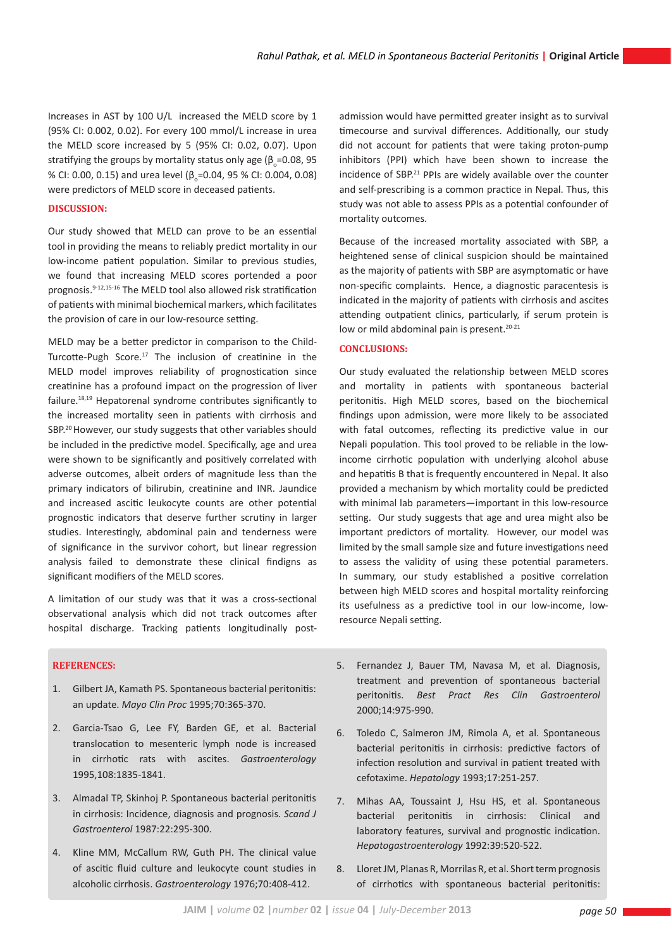Increases in AST by 100 U/L increased the MELD score by 1 (95% CI: 0.002, 0.02). For every 100 mmol/L increase in urea the MELD score increased by 5 (95% CI: 0.02, 0.07). Upon stratifying the groups by mortality status only age ( $\beta_{\circ}$ =0.08, 95 % CI: 0.00, 0.15) and urea level (β<sub>o</sub>=0.04, 95 % CI: 0.004, 0.08) were predictors of MELD score in deceased patients.

## **Discussion:**

Our study showed that MELD can prove to be an essential tool in providing the means to reliably predict mortality in our low-income patient population. Similar to previous studies, we found that increasing MELD scores portended a poor prognosis.9-12,15-16 The MELD tool also allowed risk stratification of patients with minimal biochemical markers, which facilitates the provision of care in our low-resource setting.

MELD may be a better predictor in comparison to the Child-Turcotte-Pugh Score.<sup>17</sup> The inclusion of creatinine in the MELD model improves reliability of prognostication since creatinine has a profound impact on the progression of liver failure.18,19 Hepatorenal syndrome contributes significantly to the increased mortality seen in patients with cirrhosis and SBP.20 However, our study suggests that other variables should be included in the predictive model. Specifically, age and urea were shown to be significantly and positively correlated with adverse outcomes, albeit orders of magnitude less than the primary indicators of bilirubin, creatinine and INR. Jaundice and increased ascitic leukocyte counts are other potential prognostic indicators that deserve further scrutiny in larger studies. Interestingly, abdominal pain and tenderness were of significance in the survivor cohort, but linear regression analysis failed to demonstrate these clinical findigns as significant modifiers of the MELD scores.

A limitation of our study was that it was a cross-sectional observational analysis which did not track outcomes after hospital discharge. Tracking patients longitudinally post-

## **References:**

- 1. Gilbert JA, Kamath PS. Spontaneous bacterial peritonitis: an update. *Mayo Clin Proc* 1995;70:365-370.
- 2. Garcia-Tsao G, Lee FY, Barden GE, et al. Bacterial translocation to mesenteric lymph node is increased in cirrhotic rats with ascites. *Gastroenterology* 1995,108:1835-1841.
- 3. Almadal TP, Skinhoj P. Spontaneous bacterial peritonitis in cirrhosis: Incidence, diagnosis and prognosis. *Scand J Gastroenterol* 1987:22:295-300.
- 4. Kline MM, McCallum RW, Guth PH. The clinical value of ascitic fluid culture and leukocyte count studies in alcoholic cirrhosis. *Gastroenterology* 1976;70:408-412.

admission would have permitted greater insight as to survival timecourse and survival differences. Additionally, our study did not account for patients that were taking proton-pump inhibitors (PPI) which have been shown to increase the incidence of SBP.21 PPIs are widely available over the counter and self-prescribing is a common practice in Nepal. Thus, this study was not able to assess PPIs as a potential confounder of mortality outcomes.

Because of the increased mortality associated with SBP, a heightened sense of clinical suspicion should be maintained as the majority of patients with SBP are asymptomatic or have non-specific complaints. Hence, a diagnostic paracentesis is indicated in the majority of patients with cirrhosis and ascites attending outpatient clinics, particularly, if serum protein is low or mild abdominal pain is present.<sup>20-21</sup>

## **Conclusions:**

Our study evaluated the relationship between MELD scores and mortality in patients with spontaneous bacterial peritonitis. High MELD scores, based on the biochemical findings upon admission, were more likely to be associated with fatal outcomes, reflecting its predictive value in our Nepali population. This tool proved to be reliable in the lowincome cirrhotic population with underlying alcohol abuse and hepatitis B that is frequently encountered in Nepal. It also provided a mechanism by which mortality could be predicted with minimal lab parameters—important in this low-resource setting. Our study suggests that age and urea might also be important predictors of mortality. However, our model was limited by the small sample size and future investigations need to assess the validity of using these potential parameters. In summary, our study established a positive correlation between high MELD scores and hospital mortality reinforcing its usefulness as a predictive tool in our low-income, lowresource Nepali setting.

- 5. Fernandez J, Bauer TM, Navasa M, et al. Diagnosis, treatment and prevention of spontaneous bacterial peritonitis. *Best Pract Res Clin Gastroenterol* 2000;14:975-990.
- 6. Toledo C, Salmeron JM, Rimola A, et al. Spontaneous bacterial peritonitis in cirrhosis: predictive factors of infection resolution and survival in patient treated with cefotaxime. *Hepatology* 1993;17:251-257.
- 7. Mihas AA, Toussaint J, Hsu HS, et al. Spontaneous bacterial peritonitis in cirrhosis: Clinical and laboratory features, survival and prognostic indication. *Hepatogastroenterology* 1992:39:520-522.
- 8. Lloret JM, Planas R, Morrilas R, et al. Short term prognosis of cirrhotics with spontaneous bacterial peritonitis: